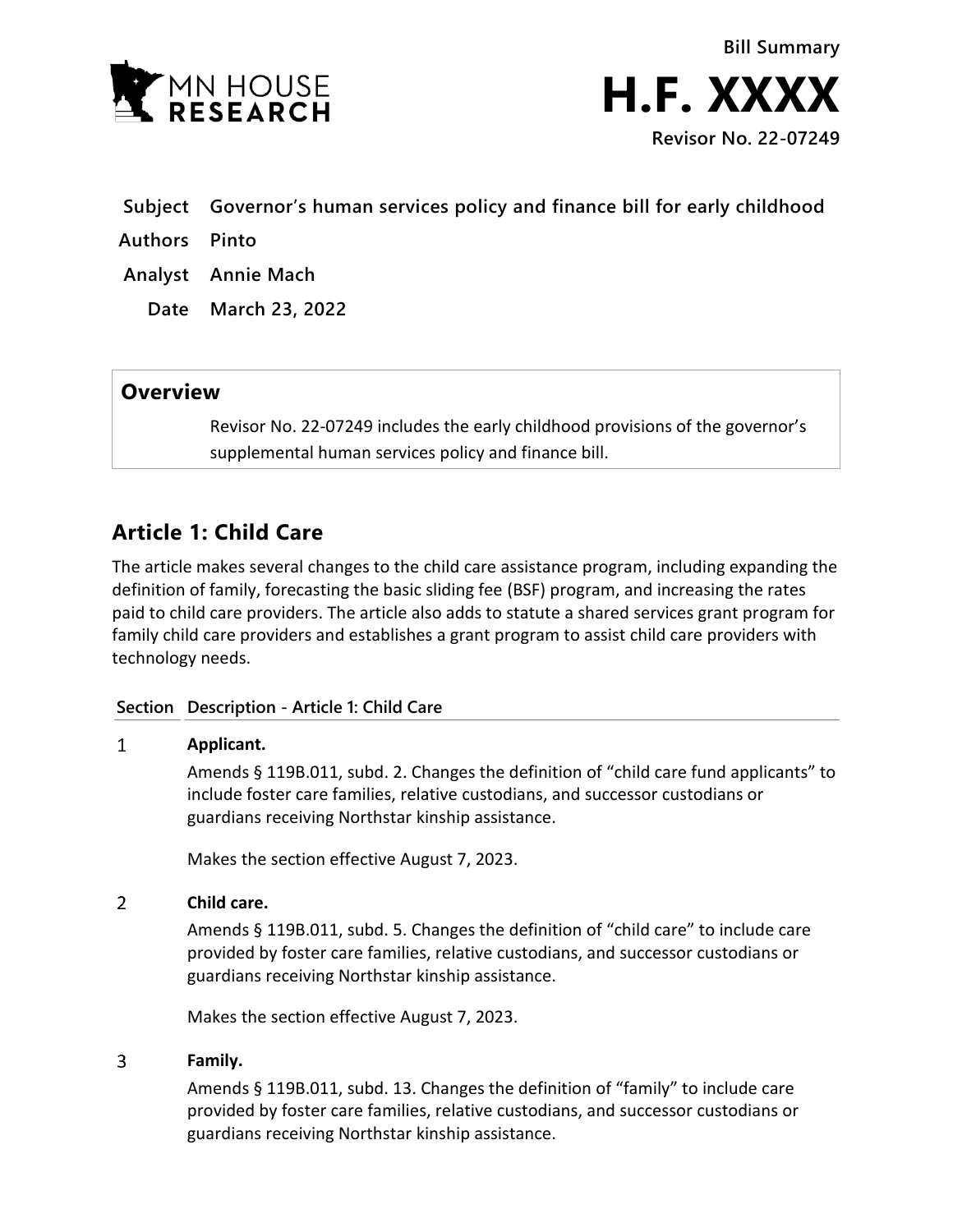

- **Subject Governor's human services policy and finance bill for early childhood**
- **Authors Pinto**
- **Analyst Annie Mach**
	- **Date March 23, 2022**

## **Overview**

Revisor No. 22-07249 includes the early childhood provisions of the governor's supplemental human services policy and finance bill.

# **Article 1: Child Care**

The article makes several changes to the child care assistance program, including expanding the definition of family, forecasting the basic sliding fee (BSF) program, and increasing the rates paid to child care providers. The article also adds to statute a shared services grant program for family child care providers and establishes a grant program to assist child care providers with technology needs.

## **Section Description - Article 1: Child Care**

#### $\mathbf{1}$ **Applicant.**

Amends § 119B.011, subd. 2. Changes the definition of "child care fund applicants" to include foster care families, relative custodians, and successor custodians or guardians receiving Northstar kinship assistance.

Makes the section effective August 7, 2023.

#### $\overline{2}$ **Child care.**

Amends § 119B.011, subd. 5. Changes the definition of "child care" to include care provided by foster care families, relative custodians, and successor custodians or guardians receiving Northstar kinship assistance.

Makes the section effective August 7, 2023.

#### 3 **Family.**

Amends § 119B.011, subd. 13. Changes the definition of "family" to include care provided by foster care families, relative custodians, and successor custodians or guardians receiving Northstar kinship assistance.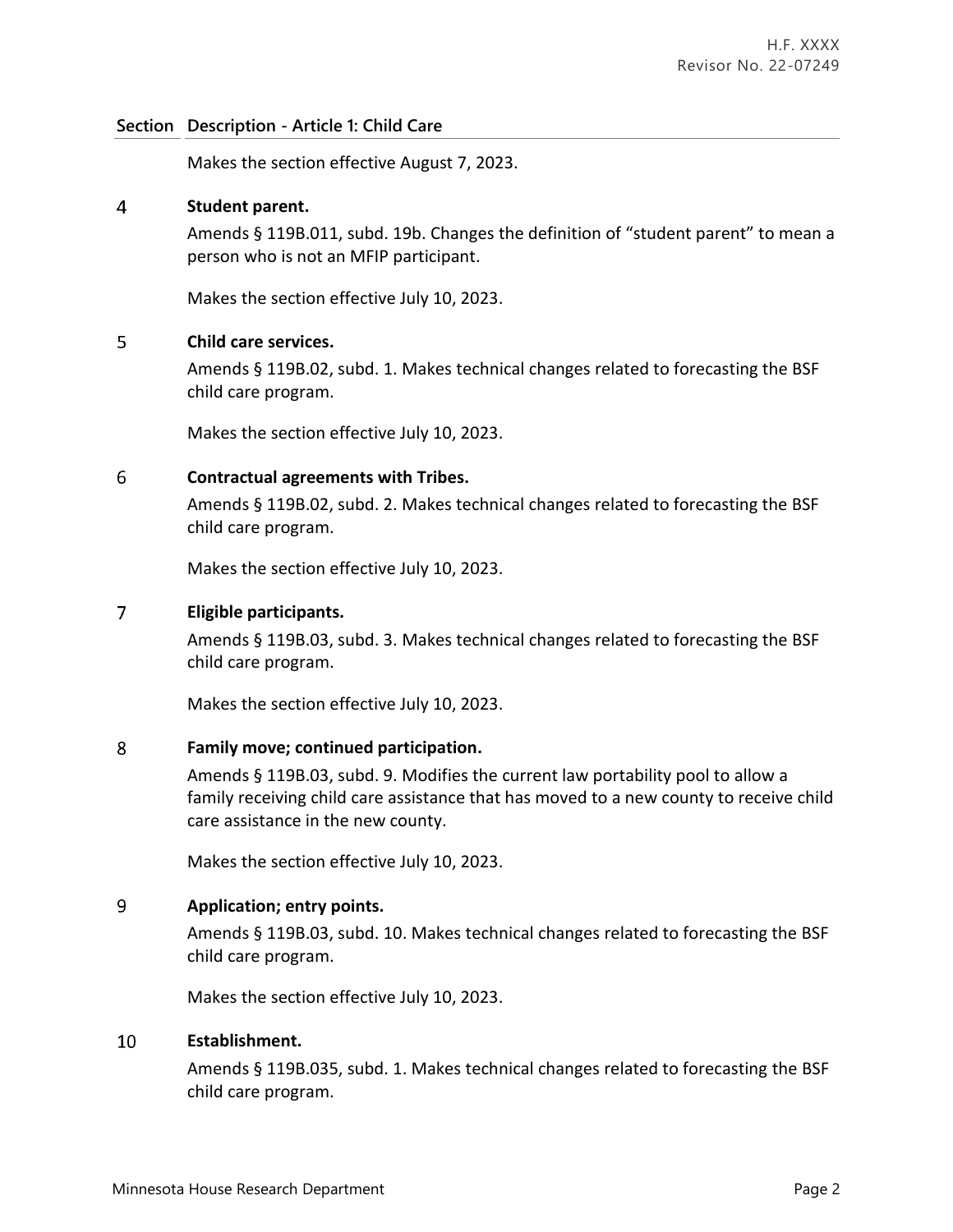Makes the section effective August 7, 2023.

#### $\overline{4}$ **Student parent.**

Amends § 119B.011, subd. 19b. Changes the definition of "student parent" to mean a person who is not an MFIP participant.

Makes the section effective July 10, 2023.

#### 5 **Child care services.**

Amends § 119B.02, subd. 1. Makes technical changes related to forecasting the BSF child care program.

Makes the section effective July 10, 2023.

#### 6 **Contractual agreements with Tribes.**

Amends § 119B.02, subd. 2. Makes technical changes related to forecasting the BSF child care program.

Makes the section effective July 10, 2023.

#### $\overline{7}$ **Eligible participants.**

Amends § 119B.03, subd. 3. Makes technical changes related to forecasting the BSF child care program.

Makes the section effective July 10, 2023.

#### 8 **Family move; continued participation.**

Amends § 119B.03, subd. 9. Modifies the current law portability pool to allow a family receiving child care assistance that has moved to a new county to receive child care assistance in the new county.

Makes the section effective July 10, 2023.

#### $\overline{9}$ **Application; entry points.**

Amends § 119B.03, subd. 10. Makes technical changes related to forecasting the BSF child care program.

Makes the section effective July 10, 2023.

#### 10 **Establishment.**

Amends § 119B.035, subd. 1. Makes technical changes related to forecasting the BSF child care program.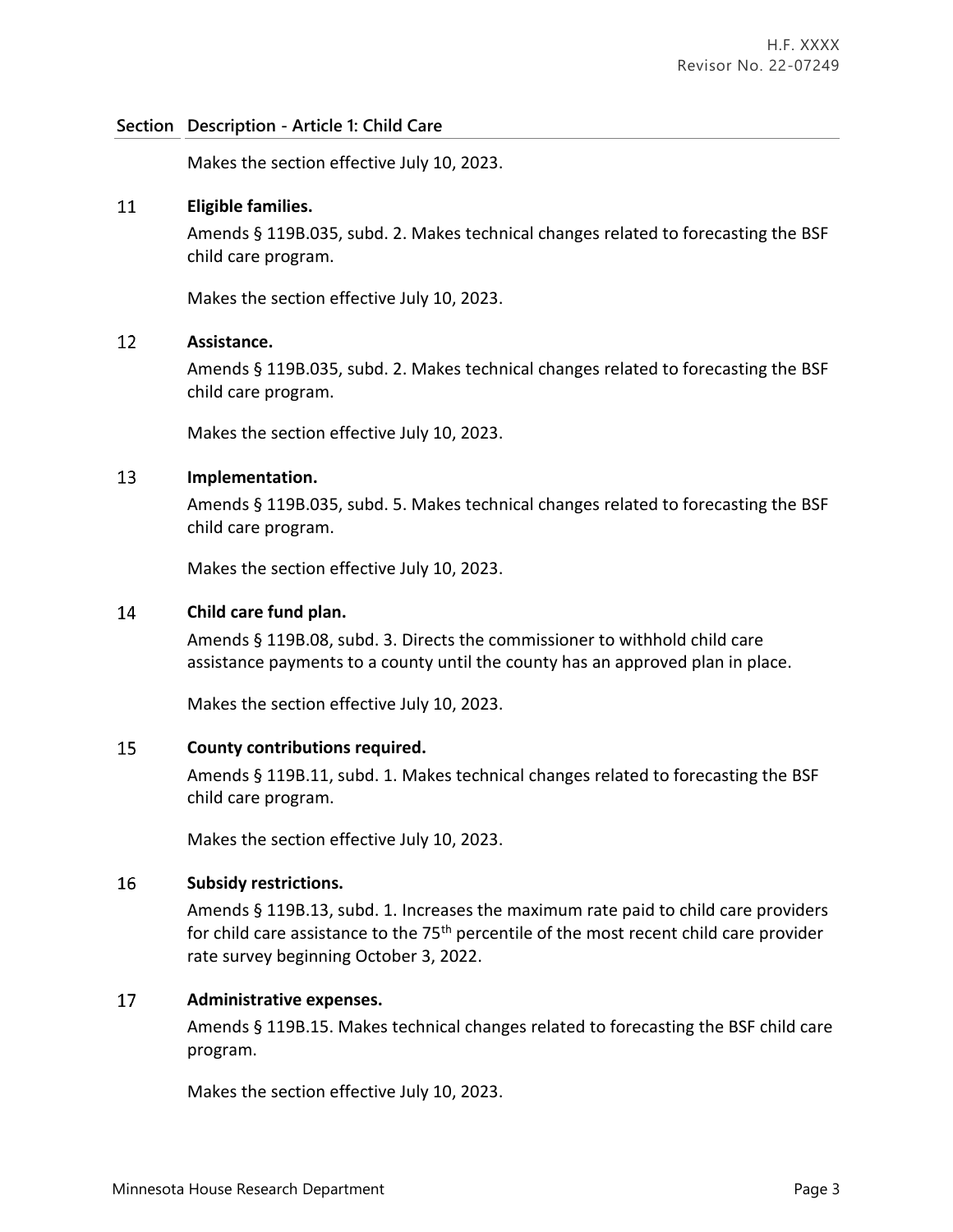Makes the section effective July 10, 2023.

#### 11 **Eligible families.**

Amends § 119B.035, subd. 2. Makes technical changes related to forecasting the BSF child care program.

Makes the section effective July 10, 2023.

#### 12 **Assistance.**

Amends § 119B.035, subd. 2. Makes technical changes related to forecasting the BSF child care program.

Makes the section effective July 10, 2023.

#### 13 **Implementation.**

Amends § 119B.035, subd. 5. Makes technical changes related to forecasting the BSF child care program.

Makes the section effective July 10, 2023.

#### **Child care fund plan.** 14

Amends § 119B.08, subd. 3. Directs the commissioner to withhold child care assistance payments to a county until the county has an approved plan in place.

Makes the section effective July 10, 2023.

#### 15 **County contributions required.**

Amends § 119B.11, subd. 1. Makes technical changes related to forecasting the BSF child care program.

Makes the section effective July 10, 2023.

#### 16 **Subsidy restrictions.**

Amends § 119B.13, subd. 1. Increases the maximum rate paid to child care providers for child care assistance to the 75<sup>th</sup> percentile of the most recent child care provider rate survey beginning October 3, 2022.

#### 17 **Administrative expenses.**

Amends § 119B.15. Makes technical changes related to forecasting the BSF child care program.

Makes the section effective July 10, 2023.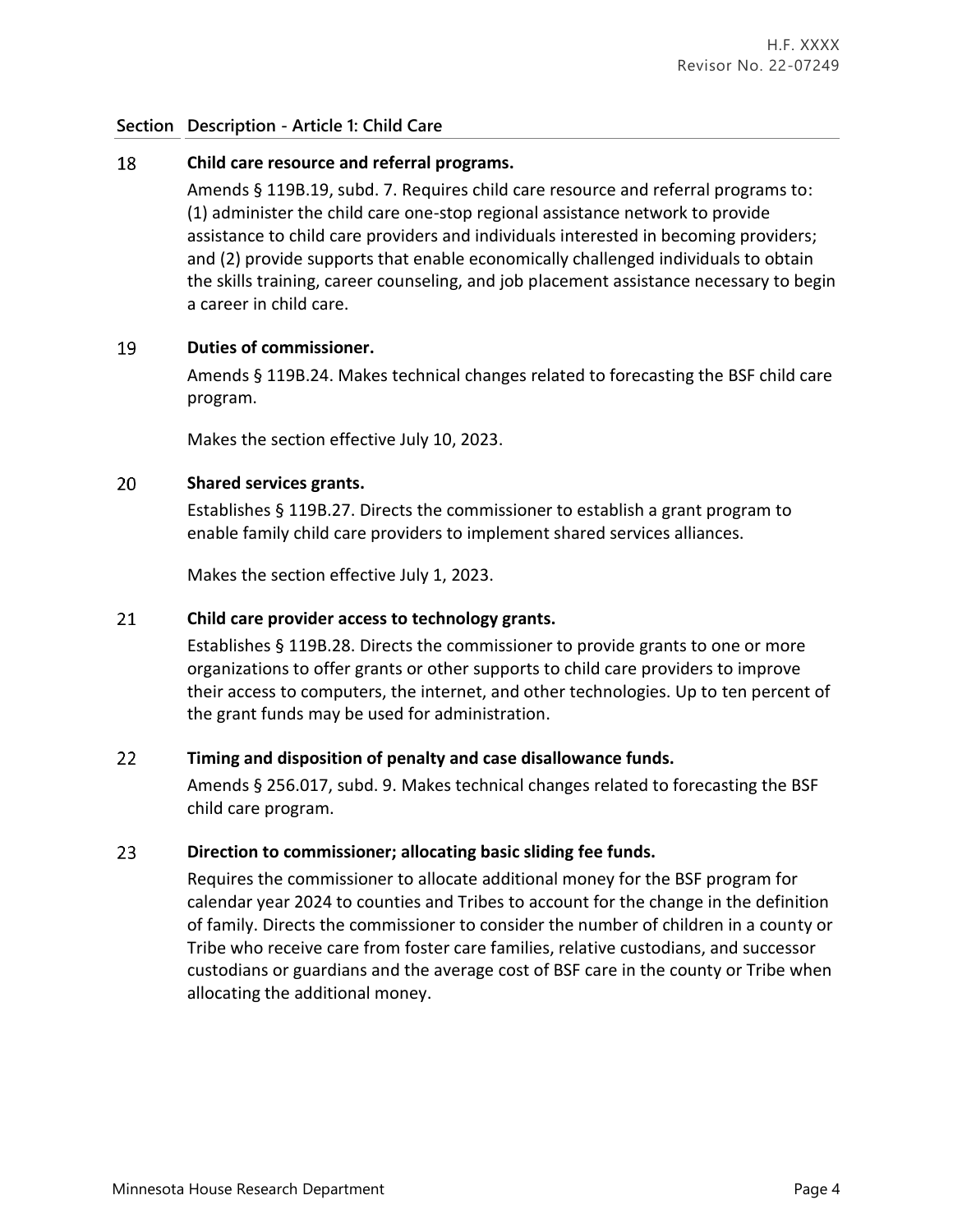#### 18 **Child care resource and referral programs.**

Amends § 119B.19, subd. 7. Requires child care resource and referral programs to: (1) administer the child care one-stop regional assistance network to provide assistance to child care providers and individuals interested in becoming providers; and (2) provide supports that enable economically challenged individuals to obtain the skills training, career counseling, and job placement assistance necessary to begin a career in child care.

#### 19 **Duties of commissioner.**

Amends § 119B.24. Makes technical changes related to forecasting the BSF child care program.

Makes the section effective July 10, 2023.

#### 20 **Shared services grants.**

Establishes § 119B.27. Directs the commissioner to establish a grant program to enable family child care providers to implement shared services alliances.

Makes the section effective July 1, 2023.

#### 21 **Child care provider access to technology grants.**

Establishes § 119B.28. Directs the commissioner to provide grants to one or more organizations to offer grants or other supports to child care providers to improve their access to computers, the internet, and other technologies. Up to ten percent of the grant funds may be used for administration.

#### 22 **Timing and disposition of penalty and case disallowance funds.**

Amends § 256.017, subd. 9. Makes technical changes related to forecasting the BSF child care program.

#### 23 **Direction to commissioner; allocating basic sliding fee funds.**

Requires the commissioner to allocate additional money for the BSF program for calendar year 2024 to counties and Tribes to account for the change in the definition of family. Directs the commissioner to consider the number of children in a county or Tribe who receive care from foster care families, relative custodians, and successor custodians or guardians and the average cost of BSF care in the county or Tribe when allocating the additional money.